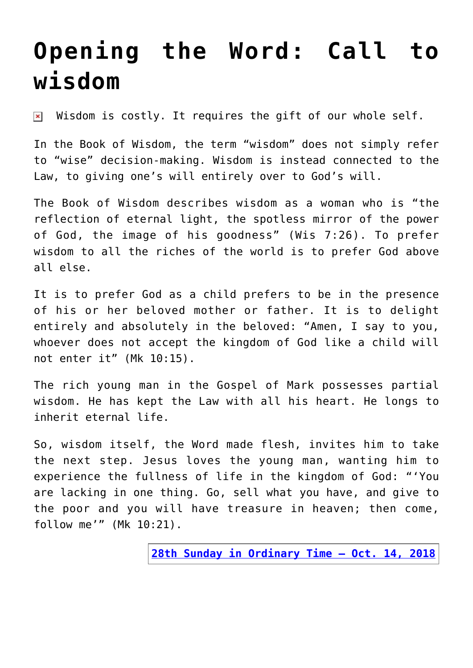## **[Opening the Word: Call to](https://www.osvnews.com/2018/10/03/opening-the-word-call-to-wisdom/) [wisdom](https://www.osvnews.com/2018/10/03/opening-the-word-call-to-wisdom/)**

Wisdom is costly. It requires the gift of our whole self.  $\pmb{\times}$ 

In the Book of Wisdom, the term "wisdom" does not simply refer to "wise" decision-making. Wisdom is instead connected to the Law, to giving one's will entirely over to God's will.

The Book of Wisdom describes wisdom as a woman who is "the reflection of eternal light, the spotless mirror of the power of God, the image of his goodness" (Wis 7:26). To prefer wisdom to all the riches of the world is to prefer God above all else.

It is to prefer God as a child prefers to be in the presence of his or her beloved mother or father. It is to delight entirely and absolutely in the beloved: "Amen, I say to you, whoever does not accept the kingdom of God like a child will not enter it" (Mk 10:15).

The rich young man in the Gospel of Mark possesses partial wisdom. He has kept the Law with all his heart. He longs to inherit eternal life.

So, wisdom itself, the Word made flesh, invites him to take the next step. Jesus loves the young man, wanting him to experience the fullness of life in the kingdom of God: "'You are lacking in one thing. Go, sell what you have, and give to the poor and you will have treasure in heaven; then come, follow me'" (Mk 10:21).

**[28th Sunday in Ordinary Time – Oct. 14, 2018](http://www.usccb.org/bible/readings/101418.cfm)**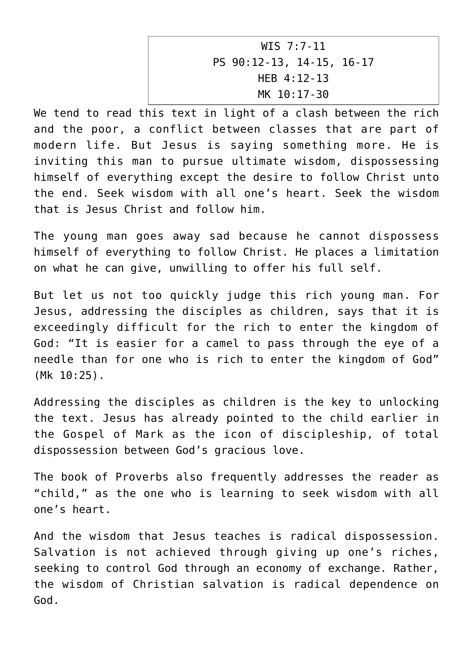WIS 7:7-11 PS 90:12-13, 14-15, 16-17 HEB 4:12-13 MK 10:17-30

We tend to read this text in light of a clash between the rich and the poor, a conflict between classes that are part of modern life. But Jesus is saying something more. He is inviting this man to pursue ultimate wisdom, dispossessing himself of everything except the desire to follow Christ unto the end. Seek wisdom with all one's heart. Seek the wisdom that is Jesus Christ and follow him.

The young man goes away sad because he cannot dispossess himself of everything to follow Christ. He places a limitation on what he can give, unwilling to offer his full self.

But let us not too quickly judge this rich young man. For Jesus, addressing the disciples as children, says that it is exceedingly difficult for the rich to enter the kingdom of God: "It is easier for a camel to pass through the eye of a needle than for one who is rich to enter the kingdom of God" (Mk 10:25).

Addressing the disciples as children is the key to unlocking the text. Jesus has already pointed to the child earlier in the Gospel of Mark as the icon of discipleship, of total dispossession between God's gracious love.

The book of Proverbs also frequently addresses the reader as "child," as the one who is learning to seek wisdom with all one's heart.

And the wisdom that Jesus teaches is radical dispossession. Salvation is not achieved through giving up one's riches, seeking to control God through an economy of exchange. Rather, the wisdom of Christian salvation is radical dependence on God.